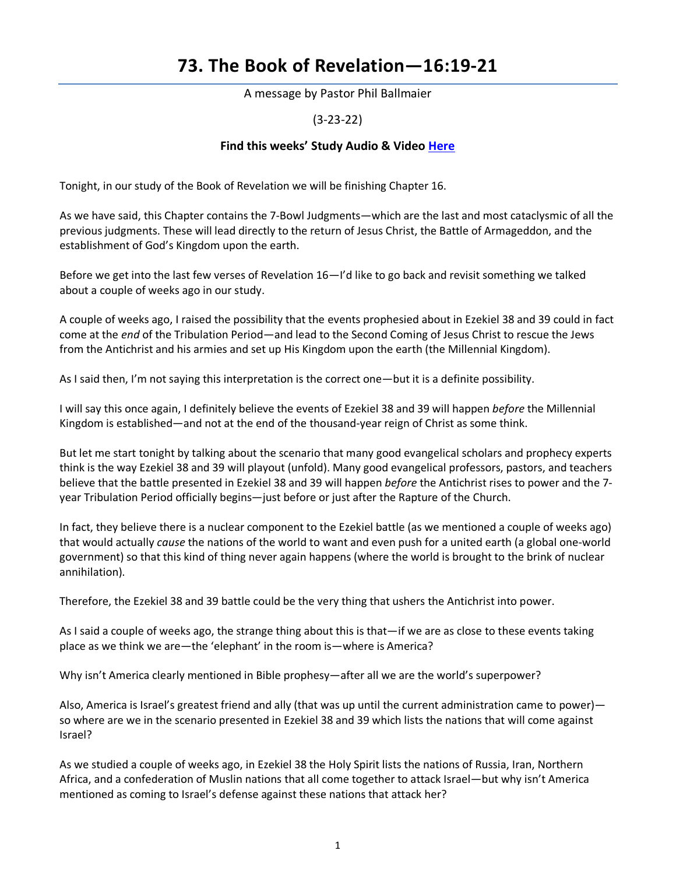# **73. The Book of Revelation—16:19-21**

A message by Pastor Phil Ballmaier

(3-23-22)

# **Find this weeks' Study Audio & Video [Here](https://www.ccelkgrove.org/wednesdays)**

Tonight, in our study of the Book of Revelation we will be finishing Chapter 16.

As we have said, this Chapter contains the 7-Bowl Judgments—which are the last and most cataclysmic of all the previous judgments. These will lead directly to the return of Jesus Christ, the Battle of Armageddon, and the establishment of God's Kingdom upon the earth.

Before we get into the last few verses of Revelation 16—I'd like to go back and revisit something we talked about a couple of weeks ago in our study.

A couple of weeks ago, I raised the possibility that the events prophesied about in Ezekiel 38 and 39 could in fact come at the *end* of the Tribulation Period—and lead to the Second Coming of Jesus Christ to rescue the Jews from the Antichrist and his armies and set up His Kingdom upon the earth (the Millennial Kingdom).

As I said then, I'm not saying this interpretation is the correct one—but it is a definite possibility.

I will say this once again, I definitely believe the events of Ezekiel 38 and 39 will happen *before* the Millennial Kingdom is established—and not at the end of the thousand-year reign of Christ as some think.

But let me start tonight by talking about the scenario that many good evangelical scholars and prophecy experts think is the way Ezekiel 38 and 39 will playout (unfold). Many good evangelical professors, pastors, and teachers believe that the battle presented in Ezekiel 38 and 39 will happen *before* the Antichrist rises to power and the 7 year Tribulation Period officially begins—just before or just after the Rapture of the Church.

In fact, they believe there is a nuclear component to the Ezekiel battle (as we mentioned a couple of weeks ago) that would actually *cause* the nations of the world to want and even push for a united earth (a global one-world government) so that this kind of thing never again happens (where the world is brought to the brink of nuclear annihilation).

Therefore, the Ezekiel 38 and 39 battle could be the very thing that ushers the Antichrist into power.

As I said a couple of weeks ago, the strange thing about this is that—if we are as close to these events taking place as we think we are—the 'elephant' in the room is—where is America?

Why isn't America clearly mentioned in Bible prophesy—after all we are the world's superpower?

Also, America is Israel's greatest friend and ally (that was up until the current administration came to power) so where are we in the scenario presented in Ezekiel 38 and 39 which lists the nations that will come against Israel?

As we studied a couple of weeks ago, in Ezekiel 38 the Holy Spirit lists the nations of Russia, Iran, Northern Africa, and a confederation of Muslin nations that all come together to attack Israel—but why isn't America mentioned as coming to Israel's defense against these nations that attack her?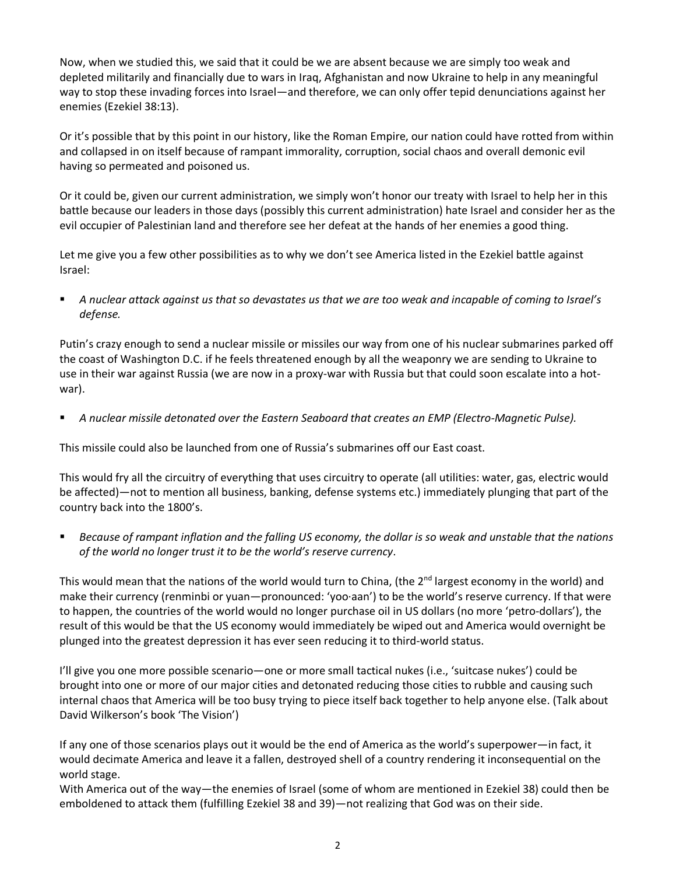Now, when we studied this, we said that it could be we are absent because we are simply too weak and depleted militarily and financially due to wars in Iraq, Afghanistan and now Ukraine to help in any meaningful way to stop these invading forces into Israel—and therefore, we can only offer tepid denunciations against her enemies (Ezekiel 38:13).

Or it's possible that by this point in our history, like the Roman Empire, our nation could have rotted from within and collapsed in on itself because of rampant immorality, corruption, social chaos and overall demonic evil having so permeated and poisoned us.

Or it could be, given our current administration, we simply won't honor our treaty with Israel to help her in this battle because our leaders in those days (possibly this current administration) hate Israel and consider her as the evil occupier of Palestinian land and therefore see her defeat at the hands of her enemies a good thing.

Let me give you a few other possibilities as to why we don't see America listed in the Ezekiel battle against Israel:

 *A nuclear attack against us that so devastates us that we are too weak and incapable of coming to Israel's defense.*

Putin's crazy enough to send a nuclear missile or missiles our way from one of his nuclear submarines parked off the coast of Washington D.C. if he feels threatened enough by all the weaponry we are sending to Ukraine to use in their war against Russia (we are now in a proxy-war with Russia but that could soon escalate into a hotwar).

*A nuclear missile detonated over the Eastern Seaboard that creates an EMP (Electro-Magnetic Pulse).*

This missile could also be launched from one of Russia's submarines off our East coast.

This would fry all the circuitry of everything that uses circuitry to operate (all utilities: water, gas, electric would be affected)—not to mention all business, banking, defense systems etc.) immediately plunging that part of the country back into the 1800's.

 *Because of rampant inflation and the falling US economy, the dollar is so weak and unstable that the nations of the world no longer trust it to be the world's reserve currency*.

This would mean that the nations of the world would turn to China, (the 2<sup>nd</sup> largest economy in the world) and make their currency (renminbi or yuan—pronounced: 'yoo·aan') to be the world's reserve currency. If that were to happen, the countries of the world would no longer purchase oil in US dollars (no more 'petro-dollars'), the result of this would be that the US economy would immediately be wiped out and America would overnight be plunged into the greatest depression it has ever seen reducing it to third-world status.

I'll give you one more possible scenario—one or more small tactical nukes (i.e., 'suitcase nukes') could be brought into one or more of our major cities and detonated reducing those cities to rubble and causing such internal chaos that America will be too busy trying to piece itself back together to help anyone else. (Talk about David Wilkerson's book 'The Vision')

If any one of those scenarios plays out it would be the end of America as the world's superpower—in fact, it would decimate America and leave it a fallen, destroyed shell of a country rendering it inconsequential on the world stage.

With America out of the way—the enemies of Israel (some of whom are mentioned in Ezekiel 38) could then be emboldened to attack them (fulfilling Ezekiel 38 and 39)—not realizing that God was on their side.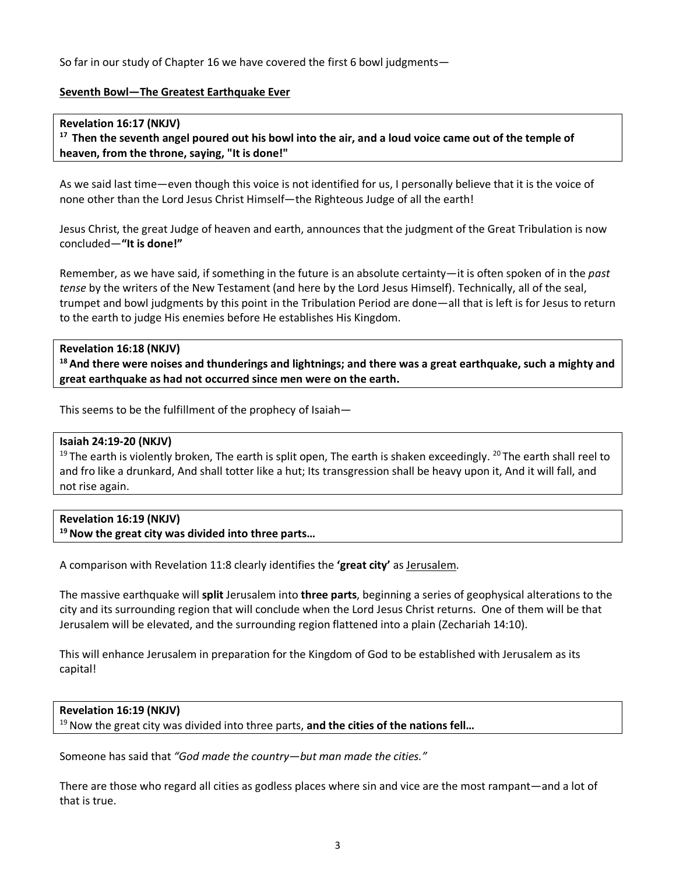So far in our study of Chapter 16 we have covered the first 6 bowl judgments—

#### **Seventh Bowl—The Greatest Earthquake Ever**

#### **Revelation 16:17 (NKJV)**

**17 Then the seventh angel poured out his bowl into the air, and a loud voice came out of the temple of heaven, from the throne, saying, "It is done!"**

As we said last time—even though this voice is not identified for us, I personally believe that it is the voice of none other than the Lord Jesus Christ Himself—the Righteous Judge of all the earth!

Jesus Christ, the great Judge of heaven and earth, announces that the judgment of the Great Tribulation is now concluded—**"It is done!"** 

Remember, as we have said, if something in the future is an absolute certainty—it is often spoken of in the *past tense* by the writers of the New Testament (and here by the Lord Jesus Himself). Technically, all of the seal, trumpet and bowl judgments by this point in the Tribulation Period are done—all that is left is for Jesus to return to the earth to judge His enemies before He establishes His Kingdom.

#### **Revelation 16:18 (NKJV)**

**18 And there were noises and thunderings and lightnings; and there was a great earthquake, such a mighty and great earthquake as had not occurred since men were on the earth.** 

This seems to be the fulfillment of the prophecy of Isaiah—

#### **Isaiah 24:19-20 (NKJV)**

<sup>19</sup> The earth is violently broken, The earth is split open, The earth is shaken exceedingly. <sup>20</sup> The earth shall reel to and fro like a drunkard, And shall totter like a hut; Its transgression shall be heavy upon it, And it will fall, and not rise again.

#### **Revelation 16:19 (NKJV) 19 Now the great city was divided into three parts…**

A comparison with Revelation 11:8 clearly identifies the **'great city'** as Jerusalem.

The massive earthquake will **split** Jerusalem into **three parts**, beginning a series of geophysical alterations to the city and its surrounding region that will conclude when the Lord Jesus Christ returns. One of them will be that Jerusalem will be elevated, and the surrounding region flattened into a plain (Zechariah 14:10).

This will enhance Jerusalem in preparation for the Kingdom of God to be established with Jerusalem as its capital!

# **Revelation 16:19 (NKJV)**

19 Now the great city was divided into three parts, **and the cities of the nations fell…**

Someone has said that *"God made the country—but man made the cities."*

There are those who regard all cities as godless places where sin and vice are the most rampant—and a lot of that is true.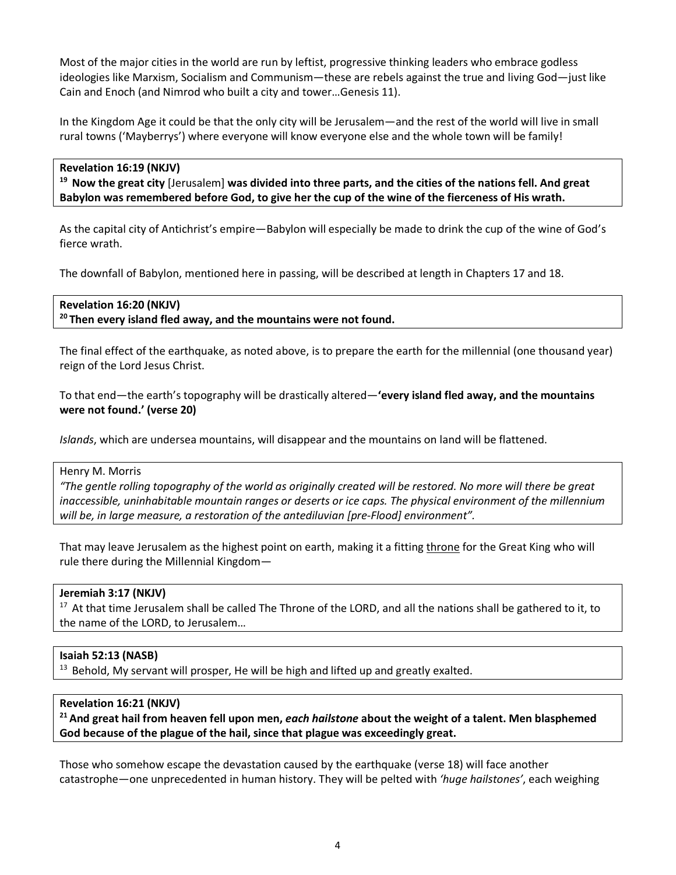Most of the major cities in the world are run by leftist, progressive thinking leaders who embrace godless ideologies like Marxism, Socialism and Communism—these are rebels against the true and living God—just like Cain and Enoch (and Nimrod who built a city and tower…Genesis 11).

In the Kingdom Age it could be that the only city will be Jerusalem—and the rest of the world will live in small rural towns ('Mayberrys') where everyone will know everyone else and the whole town will be family!

**Revelation 16:19 (NKJV) 19 Now the great city** [Jerusalem] **was divided into three parts, and the cities of the nations fell. And great Babylon was remembered before God, to give her the cup of the wine of the fierceness of His wrath.**

As the capital city of Antichrist's empire—Babylon will especially be made to drink the cup of the wine of God's fierce wrath.

The downfall of Babylon, mentioned here in passing, will be described at length in Chapters 17 and 18.

# **Revelation 16:20 (NKJV) 20 Then every island fled away, and the mountains were not found.**

The final effect of the earthquake, as noted above, is to prepare the earth for the millennial (one thousand year) reign of the Lord Jesus Christ.

To that end—the earth's topography will be drastically altered—**'every island fled away, and the mountains were not found.' (verse 20)**

*Islands*, which are undersea mountains, will disappear and the mountains on land will be flattened.

Henry M. Morris

*"The gentle rolling topography of the world as originally created will be restored. No more will there be great inaccessible, uninhabitable mountain ranges or deserts or ice caps. The physical environment of the millennium will be, in large measure, a restoration of the antediluvian [pre-Flood] environment".* 

That may leave Jerusalem as the highest point on earth, making it a fitting throne for the Great King who will rule there during the Millennial Kingdom—

# **Jeremiah 3:17 (NKJV)**

<sup>17</sup> At that time Jerusalem shall be called The Throne of the LORD, and all the nations shall be gathered to it, to the name of the LORD, to Jerusalem…

# **Isaiah 52:13 (NASB)**

 $13$  Behold, My servant will prosper, He will be high and lifted up and greatly exalted.

# **Revelation 16:21 (NKJV)**

**21 And great hail from heaven fell upon men,** *each hailstone* **about the weight of a talent. Men blasphemed God because of the plague of the hail, since that plague was exceedingly great.** 

Those who somehow escape the devastation caused by the earthquake (verse 18) will face another catastrophe—one unprecedented in human history. They will be pelted with *'huge hailstones'*, each weighing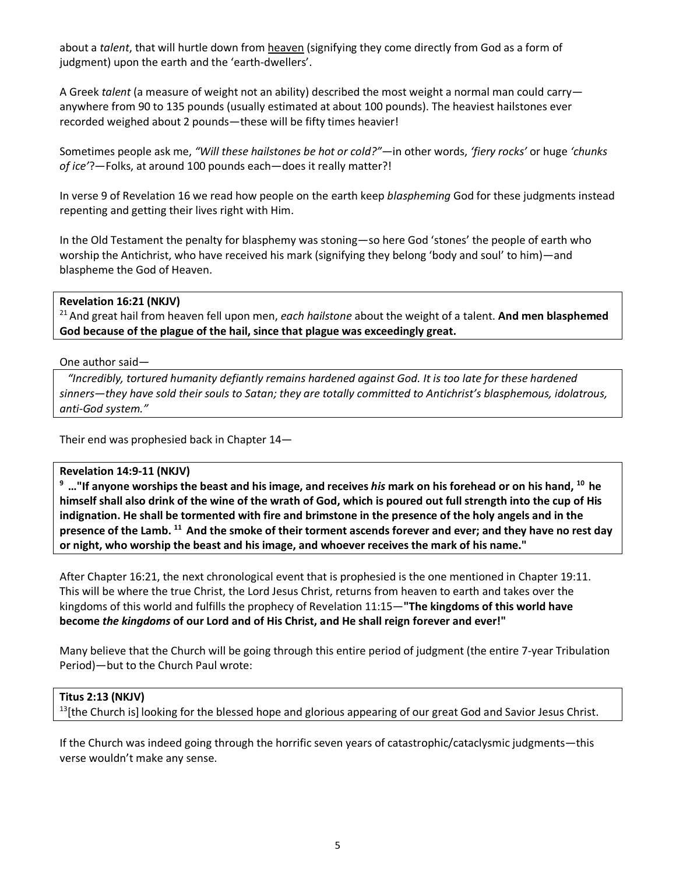about a *talent*, that will hurtle down from heaven (signifying they come directly from God as a form of judgment) upon the earth and the 'earth-dwellers'.

A Greek *talent* (a measure of weight not an ability) described the most weight a normal man could carry anywhere from 90 to 135 pounds (usually estimated at about 100 pounds). The heaviest hailstones ever recorded weighed about 2 pounds—these will be fifty times heavier!

Sometimes people ask me, *"Will these hailstones be hot or cold?"—*in other words, *'fiery rocks'* or huge *'chunks of ice'*?—Folks, at around 100 pounds each—does it really matter?!

In verse 9 of Revelation 16 we read how people on the earth keep *blaspheming* God for these judgments instead repenting and getting their lives right with Him.

In the Old Testament the penalty for blasphemy was stoning—so here God 'stones' the people of earth who worship the Antichrist, who have received his mark (signifying they belong 'body and soul' to him)—and blaspheme the God of Heaven.

# **Revelation 16:21 (NKJV)**

21 And great hail from heaven fell upon men, *each hailstone* about the weight of a talent. **And men blasphemed God because of the plague of the hail, since that plague was exceedingly great.** 

One author said—

 *"Incredibly, tortured humanity defiantly remains hardened against God. It is too late for these hardened sinners—they have sold their souls to Satan; they are totally committed to Antichrist's blasphemous, idolatrous, anti-God system."*

Their end was prophesied back in Chapter 14—

#### **Revelation 14:9-11 (NKJV)**

**9 …"If anyone worships the beast and his image, and receives** *his* **mark on his forehead or on his hand, 10 he himself shall also drink of the wine of the wrath of God, which is poured out full strength into the cup of His indignation. He shall be tormented with fire and brimstone in the presence of the holy angels and in the presence of the Lamb. 11 And the smoke of their torment ascends forever and ever; and they have no rest day or night, who worship the beast and his image, and whoever receives the mark of his name."**

After Chapter 16:21, the next chronological event that is prophesied is the one mentioned in Chapter 19:11. This will be where the true Christ, the Lord Jesus Christ, returns from heaven to earth and takes over the kingdoms of this world and fulfills the prophecy of Revelation 11:15—**"The kingdoms of this world have become** *the kingdoms* **of our Lord and of His Christ, and He shall reign forever and ever!"**

Many believe that the Church will be going through this entire period of judgment (the entire 7-year Tribulation Period)—but to the Church Paul wrote:

#### **Titus 2:13 (NKJV)**

 $<sup>13</sup>$ [the Church is] looking for the blessed hope and glorious appearing of our great God and Savior Jesus Christ.</sup>

If the Church was indeed going through the horrific seven years of catastrophic/cataclysmic judgments—this verse wouldn't make any sense.